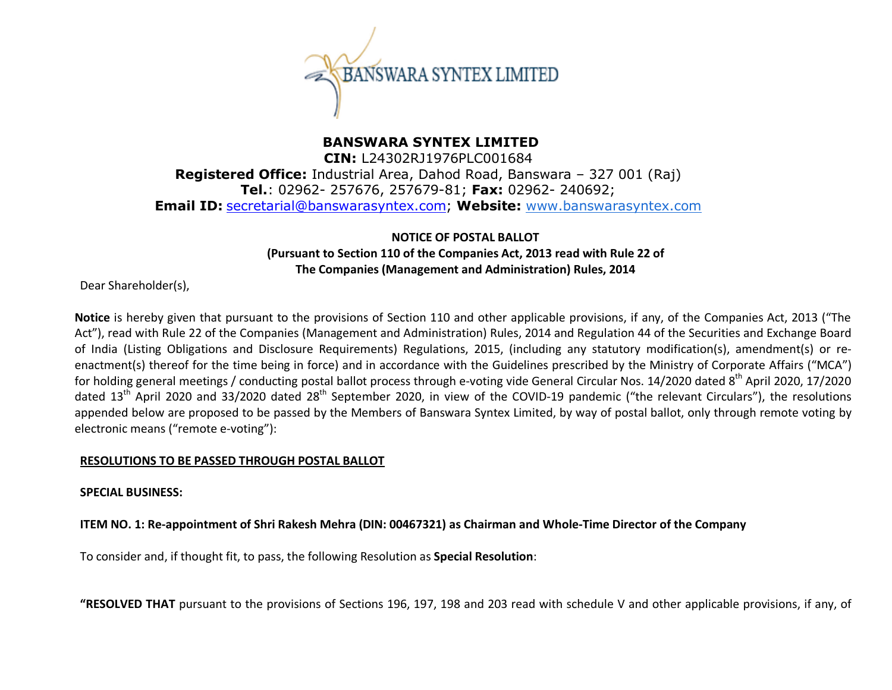

# **BANSWARA SYNTEX LIMITED CIN:** L24302RJ1976PLC001684 **Registered Office:** Industrial Area, Dahod Road, Banswara – 327 001 (Raj) **Tel.**: 02962- 257676, 257679-81; **Fax:** 02962- 240692; **Email ID:** secretarial@banswarasyntex.com; **Website:** www.banswarasyntex.com

# **NOTICE OF POSTAL BALLOT (Pursuant to Section 110 of the Companies Act, 2013 read with Rule 22 of The Companies (Management and Administration) Rules, 2014**

Dear Shareholder(s),

**Notice** is hereby given that pursuant to the provisions of Section 110 and other applicable provisions, if any, of the Companies Act, 2013 ("The Act"), read with Rule 22 of the Companies (Management and Administration) Rules, 2014 and Regulation 44 of the Securities and Exchange Board of India (Listing Obligations and Disclosure Requirements) Regulations, 2015, (including any statutory modification(s), amendment(s) or reenactment(s) thereof for the time being in force) and in accordance with the Guidelines prescribed by the Ministry of Corporate Affairs ("MCA") for holding general meetings / conducting postal ballot process through e-voting vide General Circular Nos. 14/2020 dated 8<sup>th</sup> April 2020. 17/2020 dated 13<sup>th</sup> April 2020 and 33/2020 dated 28<sup>th</sup> September 2020, in view of the COVID-19 pandemic ("the relevant Circulars"), the resolutions appended below are proposed to be passed by the Members of Banswara Syntex Limited, by way of postal ballot, only through remote voting by electronic means ("remote e-voting"):

### **RESOLUTIONS TO BE PASSED THROUGH POSTAL BALLOT**

### **SPECIAL BUSINESS:**

### **ITEM NO. 1: Re-appointment of Shri Rakesh Mehra (DIN: 00467321) as Chairman and Whole-Time Director of the Company**

To consider and, if thought fit, to pass, the following Resolution as **Special Resolution**:

**"RESOLVED THAT** pursuant to the provisions of Sections 196, 197, 198 and 203 read with schedule V and other applicable provisions, if any, of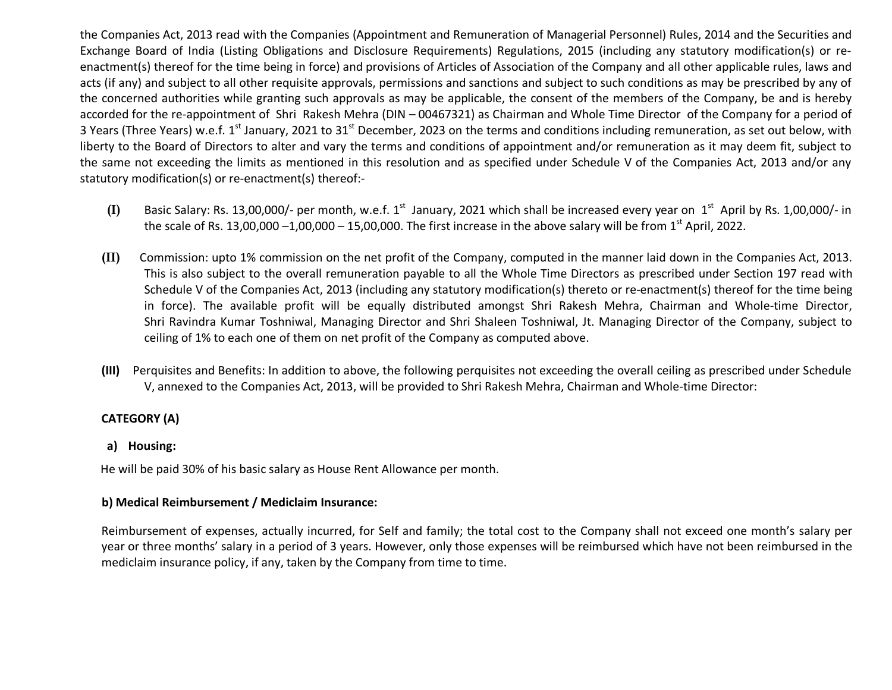the Companies Act, 2013 read with the Companies (Appointment and Remuneration of Managerial Personnel) Rules, 2014 and the Securities and Exchange Board of India (Listing Obligations and Disclosure Requirements) Regulations, 2015 (including any statutory modification(s) or reenactment(s) thereof for the time being in force) and provisions of Articles of Association of the Company and all other applicable rules, laws and acts (if any) and subject to all other requisite approvals, permissions and sanctions and subject to such conditions as may be prescribed by any of the concerned authorities while granting such approvals as may be applicable, the consent of the members of the Company, be and is hereby accorded for the re-appointment of Shri Rakesh Mehra (DIN – 00467321) as Chairman and Whole Time Director of the Company for a period of 3 Years (Three Years) w.e.f. 1<sup>st</sup> January, 2021 to 31<sup>st</sup> December, 2023 on the terms and conditions including remuneration, as set out below, with liberty to the Board of Directors to alter and vary the terms and conditions of appointment and/or remuneration as it may deem fit, subject to the same not exceeding the limits as mentioned in this resolution and as specified under Schedule V of the Companies Act, 2013 and/or any statutory modification(s) or re-enactment(s) thereof:-

- (I) Basic Salary: Rs. 13,00,000/- per month, w.e.f. 1<sup>st</sup> January, 2021 which shall be increased every year on 1<sup>st</sup> April by Rs. 1,00,000/- in the scale of Rs. 13,00,000 -1,00,000 - 15,00,000. The first increase in the above salary will be from 1<sup>st</sup> April, 2022.
- **(II)** Commission: upto 1% commission on the net profit of the Company, computed in the manner laid down in the Companies Act, 2013. This is also subject to the overall remuneration payable to all the Whole Time Directors as prescribed under Section 197 read with Schedule V of the Companies Act, 2013 (including any statutory modification(s) thereto or re-enactment(s) thereof for the time being in force). The available profit will be equally distributed amongst Shri Rakesh Mehra, Chairman and Whole-time Director, Shri Ravindra Kumar Toshniwal, Managing Director and Shri Shaleen Toshniwal, Jt. Managing Director of the Company, subject to ceiling of 1% to each one of them on net profit of the Company as computed above.
- **(III)** Perquisites and Benefits: In addition to above, the following perquisites not exceeding the overall ceiling as prescribed under Schedule V, annexed to the Companies Act, 2013, will be provided to Shri Rakesh Mehra, Chairman and Whole-time Director:

# **CATEGORY (A)**

### **a) Housing:**

He will be paid 30% of his basic salary as House Rent Allowance per month.

### **b) Medical Reimbursement / Mediclaim Insurance:**

Reimbursement of expenses, actually incurred, for Self and family; the total cost to the Company shall not exceed one month's salary per year or three months' salary in a period of 3 years. However, only those expenses will be reimbursed which have not been reimbursed in the mediclaim insurance policy, if any, taken by the Company from time to time.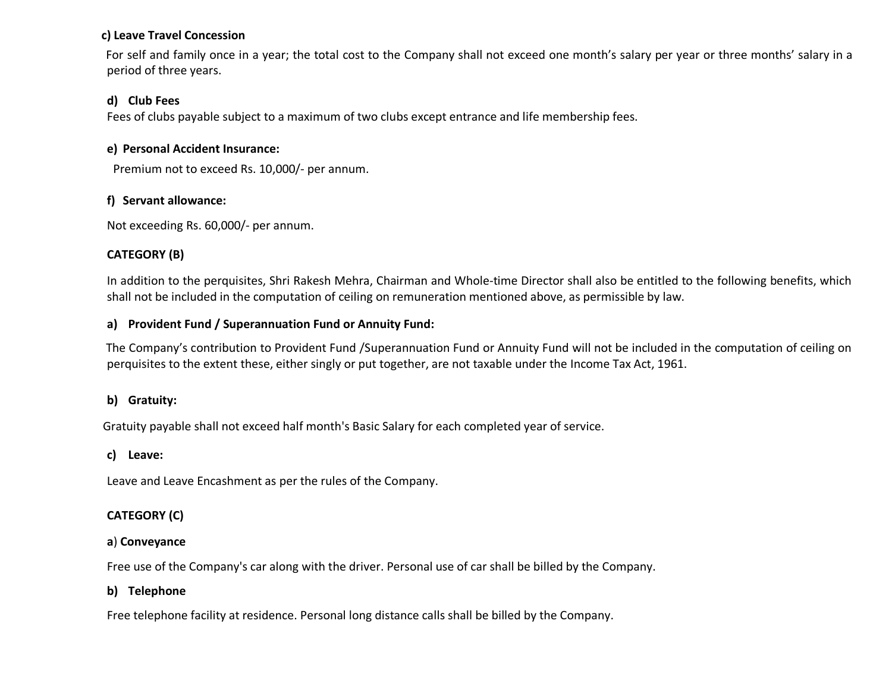#### **c) Leave Travel Concession**

 For self and family once in a year; the total cost to the Company shall not exceed one month's salary per year or three months' salary in a period of three years.

# **d) Club Fees**

Fees of clubs payable subject to a maximum of two clubs except entrance and life membership fees.

### **e) Personal Accident Insurance:**

Premium not to exceed Rs. 10,000/- per annum.

# **f) Servant allowance:**

Not exceeding Rs. 60,000/- per annum.

# **CATEGORY (B)**

In addition to the perquisites, Shri Rakesh Mehra, Chairman and Whole-time Director shall also be entitled to the following benefits, which shall not be included in the computation of ceiling on remuneration mentioned above, as permissible by law.

### **a) Provident Fund / Superannuation Fund or Annuity Fund:**

 The Company's contribution to Provident Fund /Superannuation Fund or Annuity Fund will not be included in the computation of ceiling on perquisites to the extent these, either singly or put together, are not taxable under the Income Tax Act, 1961.

# **b) Gratuity:**

Gratuity payable shall not exceed half month's Basic Salary for each completed year of service.

# **c) Leave:**

Leave and Leave Encashment as per the rules of the Company.

# **CATEGORY (C)**

# **a**) **Conveyance**

Free use of the Company's car along with the driver. Personal use of car shall be billed by the Company.

# **b) Telephone**

Free telephone facility at residence. Personal long distance calls shall be billed by the Company.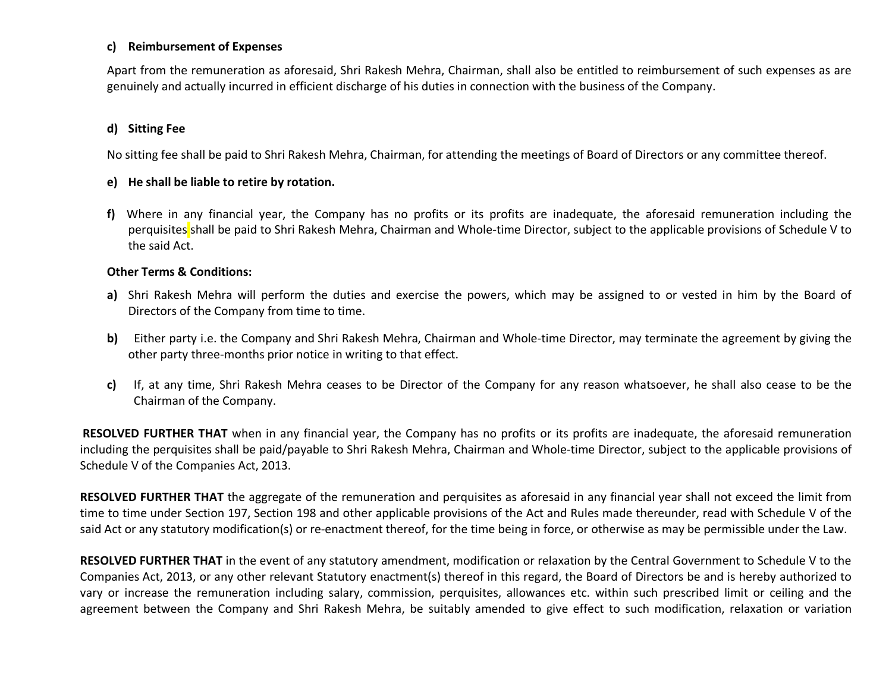#### **c) Reimbursement of Expenses**

Apart from the remuneration as aforesaid, Shri Rakesh Mehra, Chairman, shall also be entitled to reimbursement of such expenses as are genuinely and actually incurred in efficient discharge of his duties in connection with the business of the Company.

### **d) Sitting Fee**

No sitting fee shall be paid to Shri Rakesh Mehra, Chairman, for attending the meetings of Board of Directors or any committee thereof.

#### **e) He shall be liable to retire by rotation.**

**f)** Where in any financial year, the Company has no profits or its profits are inadequate, the aforesaid remuneration including the perquisites shall be paid to Shri Rakesh Mehra, Chairman and Whole-time Director, subject to the applicable provisions of Schedule V to the said Act.

#### **Other Terms & Conditions:**

- **a)** Shri Rakesh Mehra will perform the duties and exercise the powers, which may be assigned to or vested in him by the Board of Directors of the Company from time to time.
- **b)** Either party i.e. the Company and Shri Rakesh Mehra, Chairman and Whole-time Director, may terminate the agreement by giving the other party three-months prior notice in writing to that effect.
- **c)** If, at any time, Shri Rakesh Mehra ceases to be Director of the Company for any reason whatsoever, he shall also cease to be the Chairman of the Company.

 **RESOLVED FURTHER THAT** when in any financial year, the Company has no profits or its profits are inadequate, the aforesaid remuneration including the perquisites shall be paid/payable to Shri Rakesh Mehra, Chairman and Whole-time Director, subject to the applicable provisions of Schedule V of the Companies Act, 2013.

**RESOLVED FURTHER THAT** the aggregate of the remuneration and perquisites as aforesaid in any financial year shall not exceed the limit from time to time under Section 197, Section 198 and other applicable provisions of the Act and Rules made thereunder, read with Schedule V of the said Act or any statutory modification(s) or re-enactment thereof, for the time being in force, or otherwise as may be permissible under the Law.

**RESOLVED FURTHER THAT** in the event of any statutory amendment, modification or relaxation by the Central Government to Schedule V to the Companies Act, 2013, or any other relevant Statutory enactment(s) thereof in this regard, the Board of Directors be and is hereby authorized to vary or increase the remuneration including salary, commission, perquisites, allowances etc. within such prescribed limit or ceiling and the agreement between the Company and Shri Rakesh Mehra, be suitably amended to give effect to such modification, relaxation or variation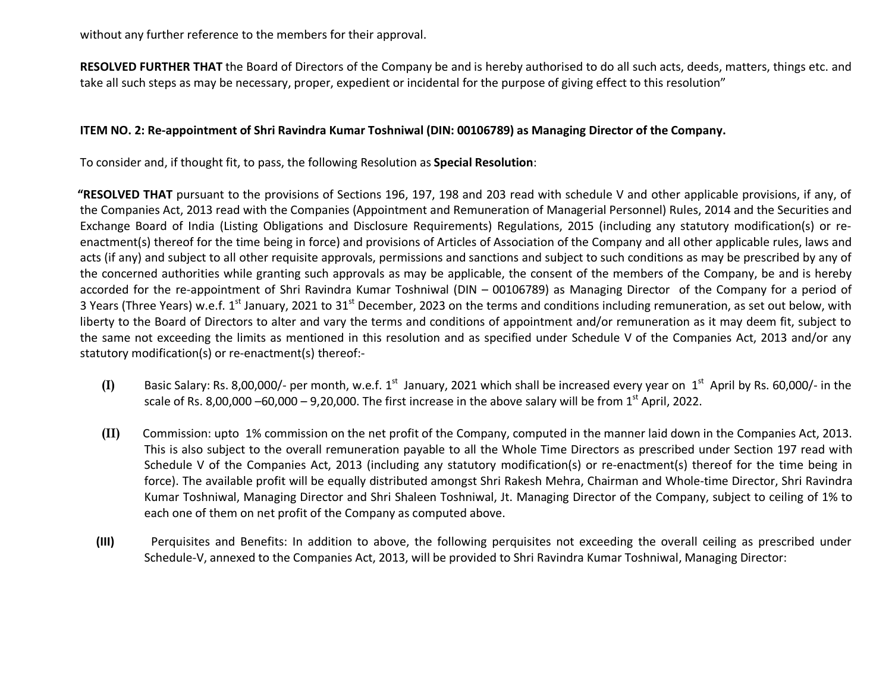without any further reference to the members for their approval.

**RESOLVED FURTHER THAT** the Board of Directors of the Company be and is hereby authorised to do all such acts, deeds, matters, things etc. and take all such steps as may be necessary, proper, expedient or incidental for the purpose of giving effect to this resolution"

#### **ITEM NO. 2: Re-appointment of Shri Ravindra Kumar Toshniwal (DIN: 00106789) as Managing Director of the Company.**

To consider and, if thought fit, to pass, the following Resolution as **Special Resolution**:

**"RESOLVED THAT** pursuant to the provisions of Sections 196, 197, 198 and 203 read with schedule V and other applicable provisions, if any, of the Companies Act, 2013 read with the Companies (Appointment and Remuneration of Managerial Personnel) Rules, 2014 and the Securities and Exchange Board of India (Listing Obligations and Disclosure Requirements) Regulations, 2015 (including any statutory modification(s) or reenactment(s) thereof for the time being in force) and provisions of Articles of Association of the Company and all other applicable rules, laws and acts (if any) and subject to all other requisite approvals, permissions and sanctions and subject to such conditions as may be prescribed by any of the concerned authorities while granting such approvals as may be applicable, the consent of the members of the Company, be and is hereby accorded for the re-appointment of Shri Ravindra Kumar Toshniwal (DIN – 00106789) as Managing Director of the Company for a period of 3 Years (Three Years) w.e.f. 1<sup>st</sup> January, 2021 to 31<sup>st</sup> December, 2023 on the terms and conditions including remuneration, as set out below, with liberty to the Board of Directors to alter and vary the terms and conditions of appointment and/or remuneration as it may deem fit, subject to the same not exceeding the limits as mentioned in this resolution and as specified under Schedule V of the Companies Act, 2013 and/or any statutory modification(s) or re-enactment(s) thereof:-

- $(I)$  Basic Salary: Rs. 8,00,000/- per month, w.e.f. 1<sup>st</sup> January, 2021 which shall be increased every year on  $1<sup>st</sup>$  April by Rs. 60,000/- in the scale of Rs. 8,00,000 –60,000 – 9,20,000. The first increase in the above salary will be from  $1<sup>st</sup>$  April, 2022.
- **(II)** Commission: upto 1% commission on the net profit of the Company, computed in the manner laid down in the Companies Act, 2013. This is also subject to the overall remuneration payable to all the Whole Time Directors as prescribed under Section 197 read with Schedule V of the Companies Act, 2013 (including any statutory modification(s) or re-enactment(s) thereof for the time being in force). The available profit will be equally distributed amongst Shri Rakesh Mehra, Chairman and Whole-time Director, Shri Ravindra Kumar Toshniwal, Managing Director and Shri Shaleen Toshniwal, Jt. Managing Director of the Company, subject to ceiling of 1% to each one of them on net profit of the Company as computed above.
- **(III)** Perquisites and Benefits: In addition to above, the following perquisites not exceeding the overall ceiling as prescribed under Schedule-V, annexed to the Companies Act, 2013, will be provided to Shri Ravindra Kumar Toshniwal, Managing Director: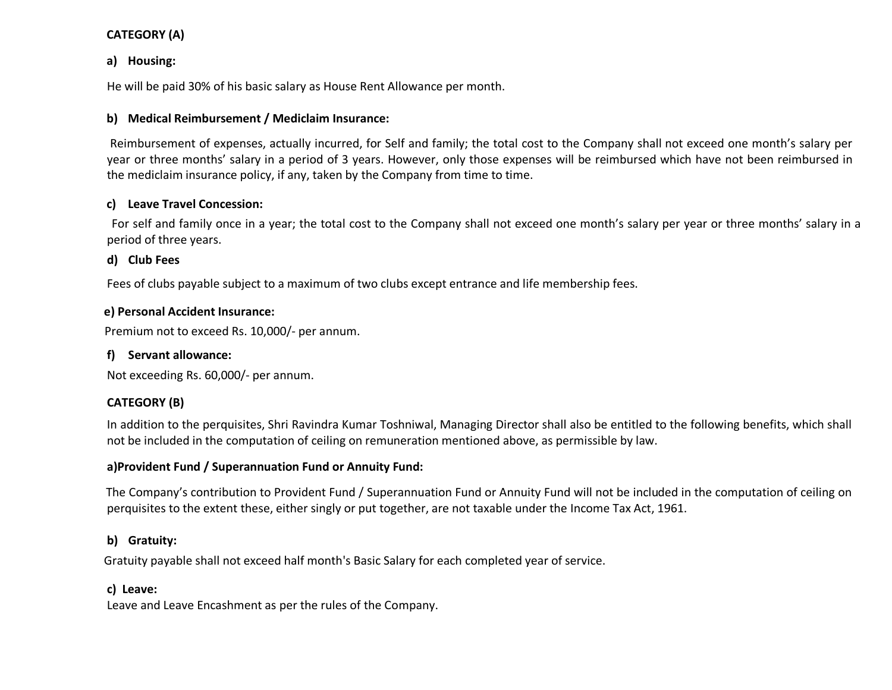### **CATEGORY (A)**

### **a) Housing:**

He will be paid 30% of his basic salary as House Rent Allowance per month.

### **b) Medical Reimbursement / Mediclaim Insurance:**

 Reimbursement of expenses, actually incurred, for Self and family; the total cost to the Company shall not exceed one month's salary per year or three months' salary in a period of 3 years. However, only those expenses will be reimbursed which have not been reimbursed in the mediclaim insurance policy, if any, taken by the Company from time to time.

### **c) Leave Travel Concession:**

 For self and family once in a year; the total cost to the Company shall not exceed one month's salary per year or three months' salary in a period of three years.

# **d) Club Fees**

Fees of clubs payable subject to a maximum of two clubs except entrance and life membership fees.

### **e) Personal Accident Insurance:**

Premium not to exceed Rs. 10,000/- per annum.

# **f) Servant allowance:**

Not exceeding Rs. 60,000/- per annum.

# **CATEGORY (B)**

In addition to the perquisites, Shri Ravindra Kumar Toshniwal, Managing Director shall also be entitled to the following benefits, which shall not be included in the computation of ceiling on remuneration mentioned above, as permissible by law.

### **a)Provident Fund / Superannuation Fund or Annuity Fund:**

 The Company's contribution to Provident Fund / Superannuation Fund or Annuity Fund will not be included in the computation of ceiling on perquisites to the extent these, either singly or put together, are not taxable under the Income Tax Act, 1961.

# **b) Gratuity:**

Gratuity payable shall not exceed half month's Basic Salary for each completed year of service.

# **c) Leave:**

Leave and Leave Encashment as per the rules of the Company.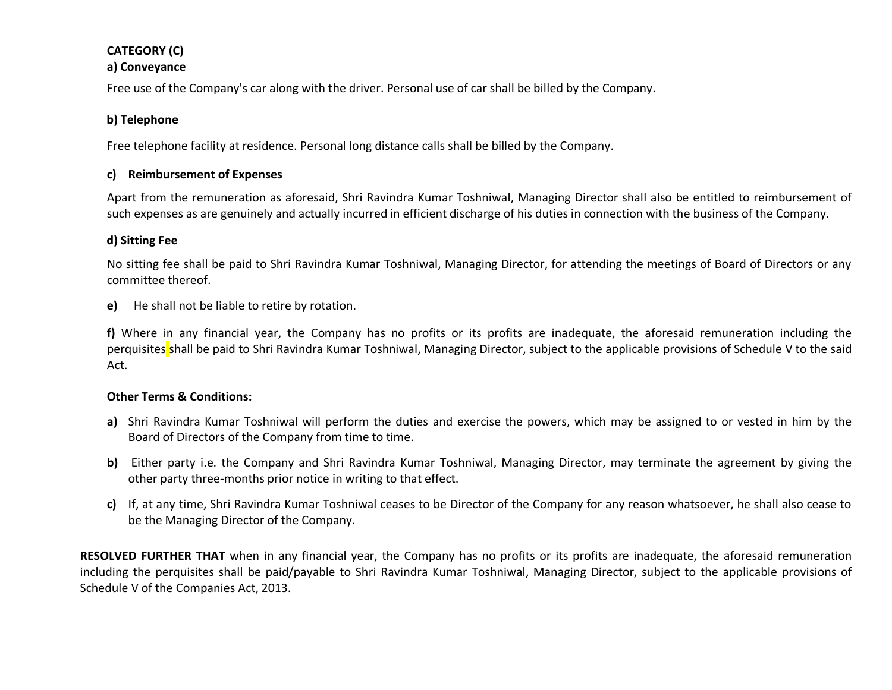# **CATEGORY (C)**

#### **a) Conveyance**

Free use of the Company's car along with the driver. Personal use of car shall be billed by the Company.

### **b) Telephone**

Free telephone facility at residence. Personal long distance calls shall be billed by the Company.

### **c) Reimbursement of Expenses**

Apart from the remuneration as aforesaid, Shri Ravindra Kumar Toshniwal, Managing Director shall also be entitled to reimbursement of such expenses as are genuinely and actually incurred in efficient discharge of his duties in connection with the business of the Company.

### **d) Sitting Fee**

No sitting fee shall be paid to Shri Ravindra Kumar Toshniwal, Managing Director, for attending the meetings of Board of Directors or any committee thereof.

**e)** He shall not be liable to retire by rotation.

**f)** Where in any financial year, the Company has no profits or its profits are inadequate, the aforesaid remuneration including the perquisites shall be paid to Shri Ravindra Kumar Toshniwal, Managing Director, subject to the applicable provisions of Schedule V to the said Act.

### **Other Terms & Conditions:**

- **a)** Shri Ravindra Kumar Toshniwal will perform the duties and exercise the powers, which may be assigned to or vested in him by the Board of Directors of the Company from time to time.
- **b)** Either party i.e. the Company and Shri Ravindra Kumar Toshniwal, Managing Director, may terminate the agreement by giving the other party three-months prior notice in writing to that effect.
- **c)** If, at any time, Shri Ravindra Kumar Toshniwal ceases to be Director of the Company for any reason whatsoever, he shall also cease to be the Managing Director of the Company.

**RESOLVED FURTHER THAT** when in any financial year, the Company has no profits or its profits are inadequate, the aforesaid remuneration including the perquisites shall be paid/payable to Shri Ravindra Kumar Toshniwal, Managing Director, subject to the applicable provisions of Schedule V of the Companies Act, 2013.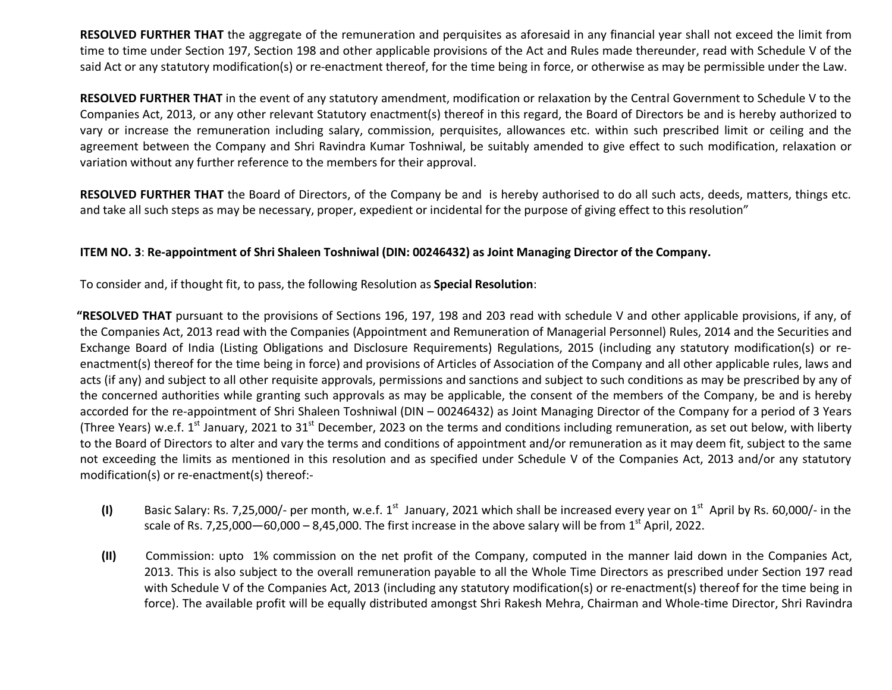**RESOLVED FURTHER THAT** the aggregate of the remuneration and perquisites as aforesaid in any financial year shall not exceed the limit from time to time under Section 197, Section 198 and other applicable provisions of the Act and Rules made thereunder, read with Schedule V of the said Act or any statutory modification(s) or re-enactment thereof, for the time being in force, or otherwise as may be permissible under the Law.

**RESOLVED FURTHER THAT** in the event of any statutory amendment, modification or relaxation by the Central Government to Schedule V to the Companies Act, 2013, or any other relevant Statutory enactment(s) thereof in this regard, the Board of Directors be and is hereby authorized to vary or increase the remuneration including salary, commission, perquisites, allowances etc. within such prescribed limit or ceiling and the agreement between the Company and Shri Ravindra Kumar Toshniwal, be suitably amended to give effect to such modification, relaxation or variation without any further reference to the members for their approval.

**RESOLVED FURTHER THAT** the Board of Directors, of the Company be and is hereby authorised to do all such acts, deeds, matters, things etc. and take all such steps as may be necessary, proper, expedient or incidental for the purpose of giving effect to this resolution"

#### **ITEM NO. 3**: **Re-appointment of Shri Shaleen Toshniwal (DIN: 00246432) as Joint Managing Director of the Company.**

To consider and, if thought fit, to pass, the following Resolution as **Special Resolution**:

**"RESOLVED THAT** pursuant to the provisions of Sections 196, 197, 198 and 203 read with schedule V and other applicable provisions, if any, of the Companies Act, 2013 read with the Companies (Appointment and Remuneration of Managerial Personnel) Rules, 2014 and the Securities and Exchange Board of India (Listing Obligations and Disclosure Requirements) Regulations, 2015 (including any statutory modification(s) or reenactment(s) thereof for the time being in force) and provisions of Articles of Association of the Company and all other applicable rules, laws and acts (if any) and subject to all other requisite approvals, permissions and sanctions and subject to such conditions as may be prescribed by any of the concerned authorities while granting such approvals as may be applicable, the consent of the members of the Company, be and is hereby accorded for the re-appointment of Shri Shaleen Toshniwal (DIN – 00246432) as Joint Managing Director of the Company for a period of 3 Years (Three Years) w.e.f. 1<sup>st</sup> January, 2021 to 31<sup>st</sup> December, 2023 on the terms and conditions including remuneration, as set out below, with liberty to the Board of Directors to alter and vary the terms and conditions of appointment and/or remuneration as it may deem fit, subject to the same not exceeding the limits as mentioned in this resolution and as specified under Schedule V of the Companies Act, 2013 and/or any statutory modification(s) or re-enactment(s) thereof:-

- (I) Basic Salary: Rs. 7,25,000/- per month, w.e.f.  $1^{st}$  January, 2021 which shall be increased every year on  $1^{st}$  April by Rs. 60,000/- in the scale of Rs. 7,25,000—60,000 – 8,45,000. The first increase in the above salary will be from  $1<sup>st</sup>$  April, 2022.
- **(II)** Commission: upto 1% commission on the net profit of the Company, computed in the manner laid down in the Companies Act, 2013. This is also subject to the overall remuneration payable to all the Whole Time Directors as prescribed under Section 197 read with Schedule V of the Companies Act, 2013 (including any statutory modification(s) or re-enactment(s) thereof for the time being in force). The available profit will be equally distributed amongst Shri Rakesh Mehra, Chairman and Whole-time Director, Shri Ravindra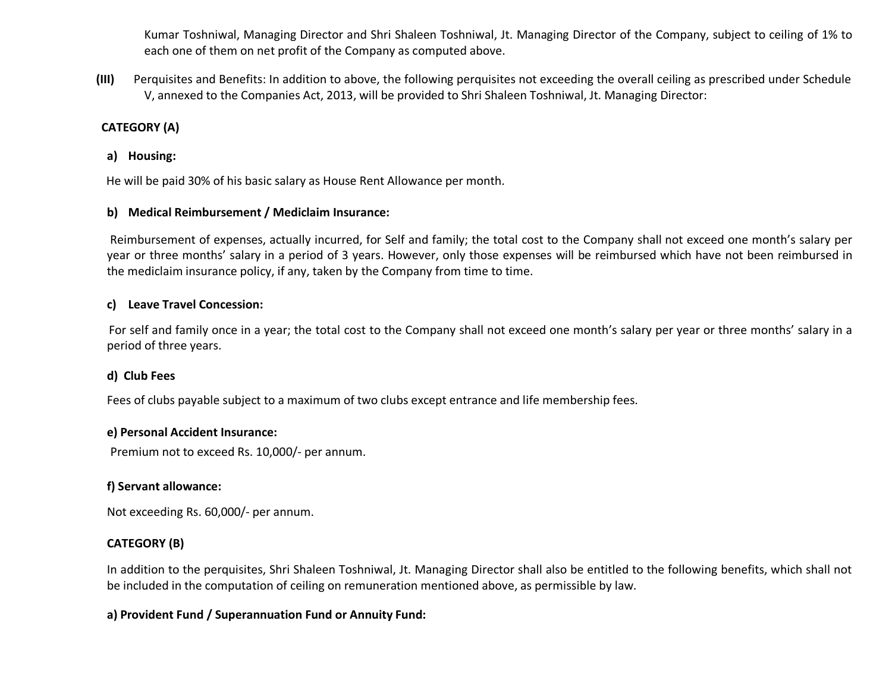Kumar Toshniwal, Managing Director and Shri Shaleen Toshniwal, Jt. Managing Director of the Company, subject to ceiling of 1% to each one of them on net profit of the Company as computed above.

**(III)** Perquisites and Benefits: In addition to above, the following perquisites not exceeding the overall ceiling as prescribed under Schedule V, annexed to the Companies Act, 2013, will be provided to Shri Shaleen Toshniwal, Jt. Managing Director:

### **CATEGORY (A)**

#### **a) Housing:**

He will be paid 30% of his basic salary as House Rent Allowance per month.

#### **b) Medical Reimbursement / Mediclaim Insurance:**

 Reimbursement of expenses, actually incurred, for Self and family; the total cost to the Company shall not exceed one month's salary per year or three months' salary in a period of 3 years. However, only those expenses will be reimbursed which have not been reimbursed in the mediclaim insurance policy, if any, taken by the Company from time to time.

#### **c) Leave Travel Concession:**

 For self and family once in a year; the total cost to the Company shall not exceed one month's salary per year or three months' salary in a period of three years.

### **d) Club Fees**

Fees of clubs payable subject to a maximum of two clubs except entrance and life membership fees.

#### **e) Personal Accident Insurance:**

Premium not to exceed Rs. 10,000/- per annum.

### **f) Servant allowance:**

Not exceeding Rs. 60,000/- per annum.

### **CATEGORY (B)**

In addition to the perquisites, Shri Shaleen Toshniwal, Jt. Managing Director shall also be entitled to the following benefits, which shall not be included in the computation of ceiling on remuneration mentioned above, as permissible by law.

### **a) Provident Fund / Superannuation Fund or Annuity Fund:**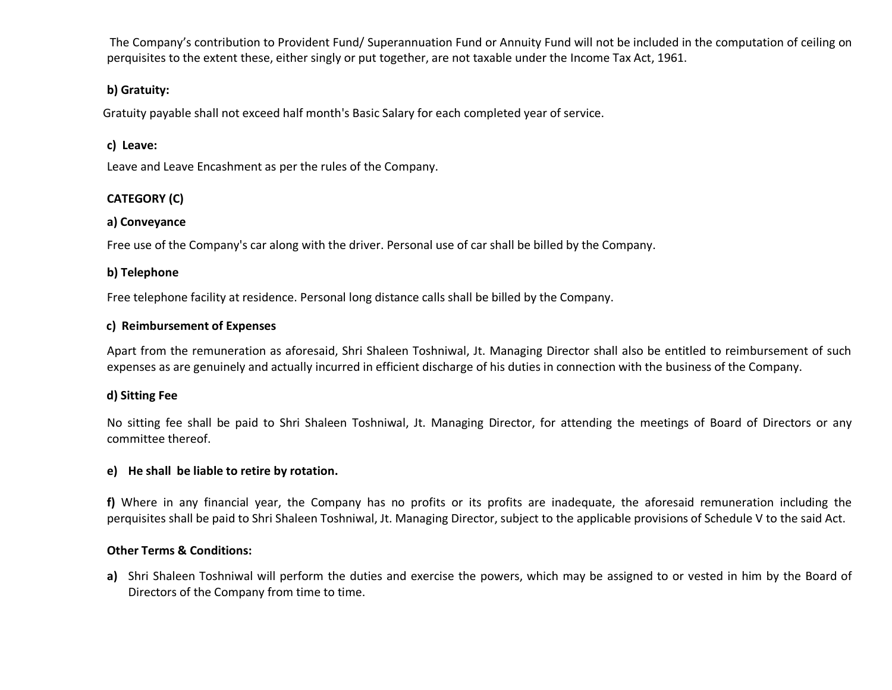The Company's contribution to Provident Fund/ Superannuation Fund or Annuity Fund will not be included in the computation of ceiling on perquisites to the extent these, either singly or put together, are not taxable under the Income Tax Act, 1961.

### **b) Gratuity:**

Gratuity payable shall not exceed half month's Basic Salary for each completed year of service.

### **c) Leave:**

Leave and Leave Encashment as per the rules of the Company.

# **CATEGORY (C)**

### **a) Conveyance**

Free use of the Company's car along with the driver. Personal use of car shall be billed by the Company.

### **b) Telephone**

Free telephone facility at residence. Personal long distance calls shall be billed by the Company.

### **c) Reimbursement of Expenses**

Apart from the remuneration as aforesaid, Shri Shaleen Toshniwal, Jt. Managing Director shall also be entitled to reimbursement of such expenses as are genuinely and actually incurred in efficient discharge of his duties in connection with the business of the Company.

# **d) Sitting Fee**

No sitting fee shall be paid to Shri Shaleen Toshniwal, Jt. Managing Director, for attending the meetings of Board of Directors or any committee thereof.

### **e) He shall be liable to retire by rotation.**

**f)** Where in any financial year, the Company has no profits or its profits are inadequate, the aforesaid remuneration including the perquisites shall be paid to Shri Shaleen Toshniwal, Jt. Managing Director, subject to the applicable provisions of Schedule V to the said Act.

### **Other Terms & Conditions:**

**a)** Shri Shaleen Toshniwal will perform the duties and exercise the powers, which may be assigned to or vested in him by the Board of Directors of the Company from time to time.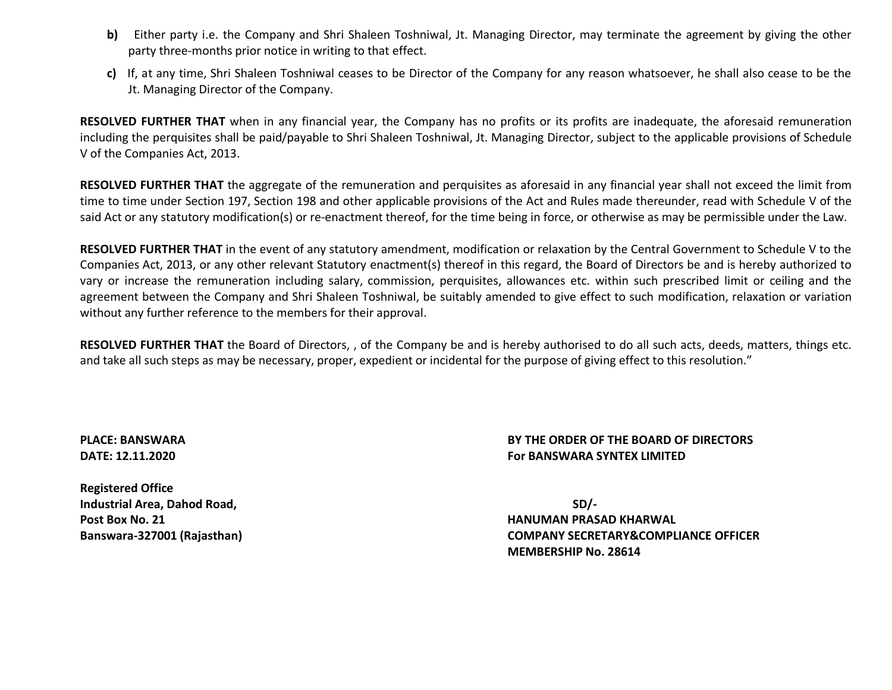- **b)** Either party i.e. the Company and Shri Shaleen Toshniwal, Jt. Managing Director, may terminate the agreement by giving the other party three-months prior notice in writing to that effect.
- **c)** If, at any time, Shri Shaleen Toshniwal ceases to be Director of the Company for any reason whatsoever, he shall also cease to be the Jt. Managing Director of the Company.

**RESOLVED FURTHER THAT** when in any financial year, the Company has no profits or its profits are inadequate, the aforesaid remuneration including the perquisites shall be paid/payable to Shri Shaleen Toshniwal, Jt. Managing Director, subject to the applicable provisions of Schedule V of the Companies Act, 2013.

**RESOLVED FURTHER THAT** the aggregate of the remuneration and perquisites as aforesaid in any financial year shall not exceed the limit from time to time under Section 197, Section 198 and other applicable provisions of the Act and Rules made thereunder, read with Schedule V of the said Act or any statutory modification(s) or re-enactment thereof, for the time being in force, or otherwise as may be permissible under the Law.

**RESOLVED FURTHER THAT** in the event of any statutory amendment, modification or relaxation by the Central Government to Schedule V to the Companies Act, 2013, or any other relevant Statutory enactment(s) thereof in this regard, the Board of Directors be and is hereby authorized to vary or increase the remuneration including salary, commission, perquisites, allowances etc. within such prescribed limit or ceiling and the agreement between the Company and Shri Shaleen Toshniwal, be suitably amended to give effect to such modification, relaxation or variation without any further reference to the members for their approval.

**RESOLVED FURTHER THAT** the Board of Directors, , of the Company be and is hereby authorised to do all such acts, deeds, matters, things etc. and take all such steps as may be necessary, proper, expedient or incidental for the purpose of giving effect to this resolution."

### **PLACE: BANSWARA BY THE ORDER OF THE BOARD OF DIRECTORS DATE: 12.11.2020 For BANSWARA SYNTEX LIMITED**

**Registered Office Industrial Area, Dahod Road, SD/- Post Box No. 21 HANUMAN PRASAD KHARWAL**

**Banswara-327001 (Rajasthan) COMPANY SECRETARY&COMPLIANCE OFFICER MEMBERSHIP No. 28614**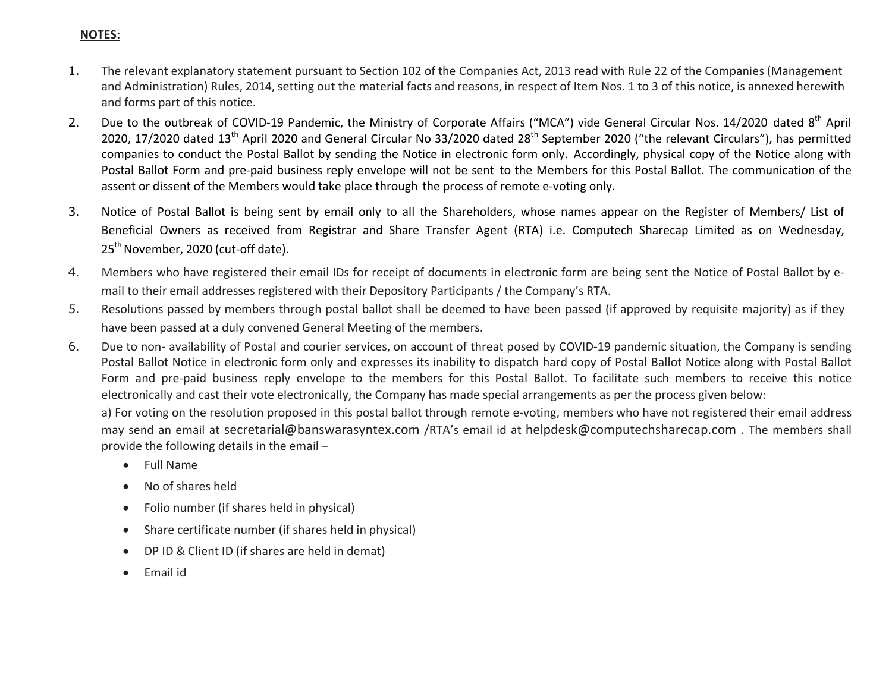### **NOTES:**

- 1. The relevant explanatory statement pursuant to Section 102 of the Companies Act, 2013 read with Rule 22 of the Companies (Management and Administration) Rules, 2014, setting out the material facts and reasons, in respect of Item Nos. 1 to 3 of this notice, is annexed herewith and forms part of this notice.
- 2. Due to the outbreak of COVID-19 Pandemic, the Ministry of Corporate Affairs ("MCA") vide General Circular Nos. 14/2020 dated 8<sup>th</sup> April 2020, 17/2020 dated  $13<sup>th</sup>$  April 2020 and General Circular No 33/2020 dated 28<sup>th</sup> September 2020 ("the relevant Circulars"), has permitted companies to conduct the Postal Ballot by sending the Notice in electronic form only. Accordingly, physical copy of the Notice along with Postal Ballot Form and pre-paid business reply envelope will not be sent to the Members for this Postal Ballot. The communication of the assent or dissent of the Members would take place through the process of remote e-voting only.
- 3. Notice of Postal Ballot is being sent by email only to all the Shareholders, whose names appear on the Register of Members/ List of Beneficial Owners as received from Registrar and Share Transfer Agent (RTA) i.e. Computech Sharecap Limited as on Wednesday, 25<sup>th</sup> November, 2020 (cut-off date).
- 4. Members who have registered their email IDs for receipt of documents in electronic form are being sent the Notice of Postal Ballot by email to their email addresses registered with their Depository Participants / the Company's RTA.
- 5. Resolutions passed by members through postal ballot shall be deemed to have been passed (if approved by requisite majority) as if they have been passed at a duly convened General Meeting of the members.
- 6. Due to non- availability of Postal and courier services, on account of threat posed by COVID-19 pandemic situation, the Company is sending Postal Ballot Notice in electronic form only and expresses its inability to dispatch hard copy of Postal Ballot Notice along with Postal Ballot Form and pre-paid business reply envelope to the members for this Postal Ballot. To facilitate such members to receive this notice electronically and cast their vote electronically, the Company has made special arrangements as per the process given below:

a) For voting on the resolution proposed in this postal ballot through remote e-voting, members who have not registered their email address may send an email at secretarial@banswarasyntex.com /RTA's email id at helpdesk@computechsharecap.com . The members shall provide the following details in the email –

- Full Name
- No of shares held
- Folio number (if shares held in physical)
- Share certificate number (if shares held in physical)
- DP ID & Client ID (if shares are held in demat)
- Email id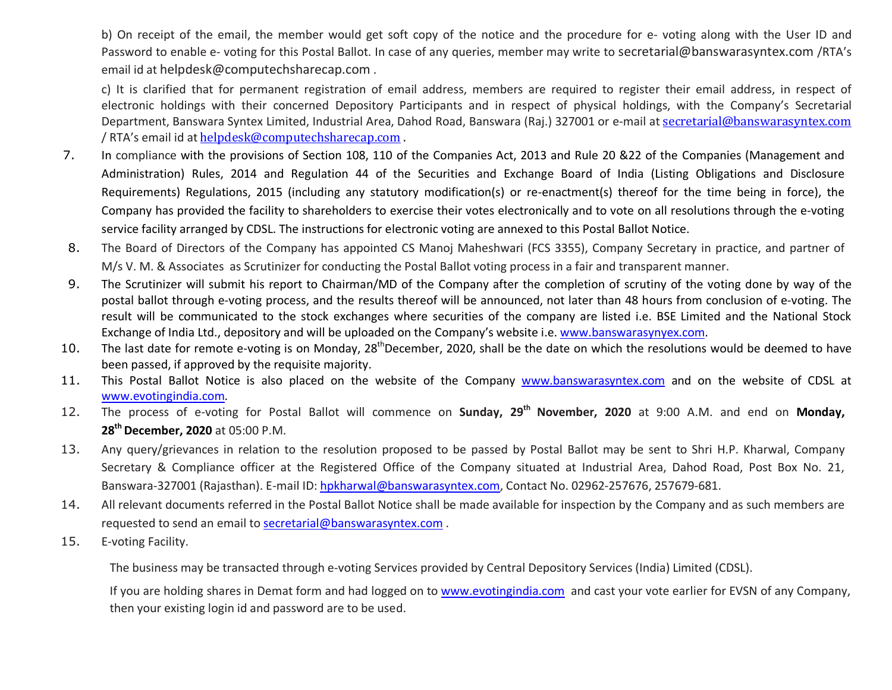b) On receipt of the email, the member would get soft copy of the notice and the procedure for e- voting along with the User ID and Password to enable e- voting for this Postal Ballot. In case of any queries, member may write to secretarial@banswarasyntex.com /RTA's email id at helpdesk@computechsharecap.com .

c) It is clarified that for permanent registration of email address, members are required to register their email address, in respect of electronic holdings with their concerned Depository Participants and in respect of physical holdings, with the Company's Secretarial Department, Banswara Syntex Limited, Industrial Area, Dahod Road, Banswara (Raj.) 327001 or e-mail at secretarial@banswarasyntex.com / RTA's email id at helpdesk@computechsharecap.com .

- 7. In compliance with the provisions of Section 108, 110 of the Companies Act, 2013 and Rule 20 &22 of the Companies (Management and Administration) Rules, 2014 and Regulation 44 of the Securities and Exchange Board of India (Listing Obligations and Disclosure Requirements) Regulations, 2015 (including any statutory modification(s) or re-enactment(s) thereof for the time being in force), the Company has provided the facility to shareholders to exercise their votes electronically and to vote on all resolutions through the e-voting service facility arranged by CDSL. The instructions for electronic voting are annexed to this Postal Ballot Notice.
- 8. The Board of Directors of the Company has appointed CS Manoj Maheshwari (FCS 3355), Company Secretary in practice, and partner of M/s V. M. & Associates as Scrutinizer for conducting the Postal Ballot voting process in a fair and transparent manner.
- 9. The Scrutinizer will submit his report to Chairman/MD of the Company after the completion of scrutiny of the voting done by way of the postal ballot through e-voting process, and the results thereof will be announced, not later than 48 hours from conclusion of e-voting. The result will be communicated to the stock exchanges where securities of the company are listed i.e. BSE Limited and the National Stock Exchange of India Ltd., depository and will be uploaded on the Company's website i.e. www.banswarasynyex.com.
- 10. The last date for remote e-voting is on Monday,  $28<sup>th</sup>$ December, 2020, shall be the date on which the resolutions would be deemed to have been passed, if approved by the requisite majority.
- 11. This Postal Ballot Notice is also placed on the website of the Company www.banswarasyntex.com and on the website of CDSL at www.evotingindia.com.
- 12. The process of e-voting for Postal Ballot will commence on **Sunday, 29th November, 2020** at 9:00 A.M. and end on **Monday, 28th December, 2020** at 05:00 P.M.
- 13. Any query/grievances in relation to the resolution proposed to be passed by Postal Ballot may be sent to Shri H.P. Kharwal, Company Secretary & Compliance officer at the Registered Office of the Company situated at Industrial Area, Dahod Road, Post Box No. 21, Banswara-327001 (Rajasthan). E-mail ID: hpkharwal@banswarasyntex.com, Contact No. 02962-257676, 257679-681.
- 14. All relevant documents referred in the Postal Ballot Notice shall be made available for inspection by the Company and as such members are requested to send an email to secretarial@banswarasyntex.com .
- 15. E-voting Facility.

The business may be transacted through e-voting Services provided by Central Depository Services (India) Limited (CDSL).

If you are holding shares in Demat form and had logged on to www.evotingindia.com and cast your vote earlier for EVSN of any Company, then your existing login id and password are to be used.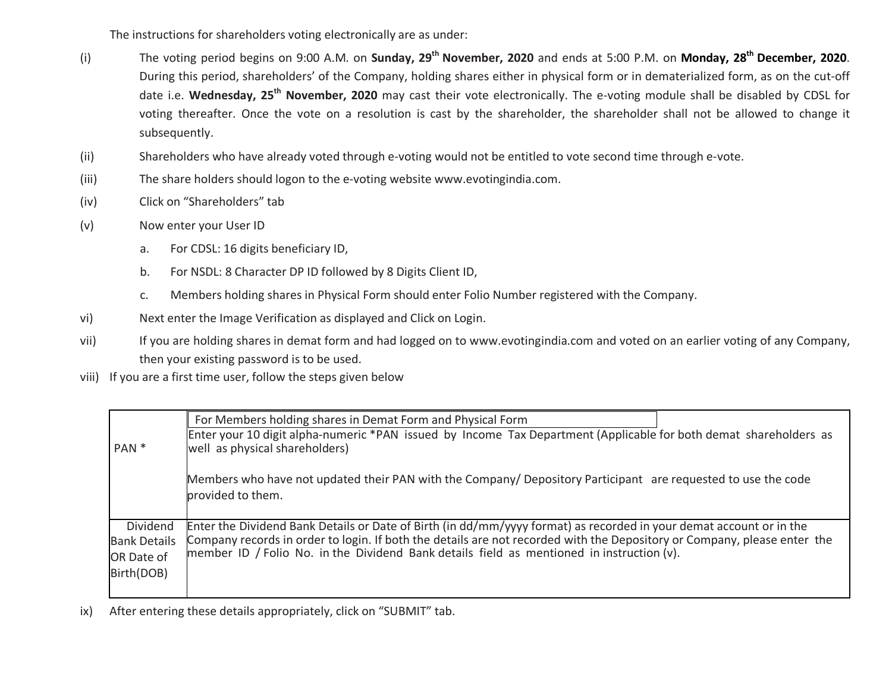The instructions for shareholders voting electronically are as under:

- (i) The voting period begins on 9:00 A.M. on **Sunday, 29th November, 2020** and ends at 5:00 P.M. on **Monday, 28th December, 2020**. During this period, shareholders' of the Company, holding shares either in physical form or in dematerialized form, as on the cut-off date i.e. **Wednesday, 25th November, 2020** may cast their vote electronically. The e-voting module shall be disabled by CDSL for voting thereafter. Once the vote on a resolution is cast by the shareholder, the shareholder shall not be allowed to change it subsequently.
- (ii) Shareholders who have already voted through e-voting would not be entitled to vote second time through e-vote.
- (iii) The share holders should logon to the e-voting website www.evotingindia.com.
- (iv) Click on "Shareholders" tab
- (v) Now enter your User ID
	- a. For CDSL: 16 digits beneficiary ID,
	- b. For NSDL: 8 Character DP ID followed by 8 Digits Client ID,
	- c. Members holding shares in Physical Form should enter Folio Number registered with the Company.
- vi) Next enter the Image Verification as displayed and Click on Login.
- vii) If you are holding shares in demat form and had logged on to www.evotingindia.com and voted on an earlier voting of any Company, then your existing password is to be used.
- viii) If you are a first time user, follow the steps given below

|                                                             | For Members holding shares in Demat Form and Physical Form                                                                                                                                                                                                                                                                                   |  |
|-------------------------------------------------------------|----------------------------------------------------------------------------------------------------------------------------------------------------------------------------------------------------------------------------------------------------------------------------------------------------------------------------------------------|--|
| PAN <sup>*</sup>                                            | Enter your 10 digit alpha-numeric *PAN issued by Income Tax Department (Applicable for both demat shareholders as<br>well as physical shareholders)                                                                                                                                                                                          |  |
|                                                             | Members who have not updated their PAN with the Company/ Depository Participant are requested to use the code<br>provided to them.                                                                                                                                                                                                           |  |
| Dividend<br><b>Bank Details</b><br>OR Date of<br>Birth(DOB) | Enter the Dividend Bank Details or Date of Birth (in dd/mm/yyyy format) as recorded in your demat account or in the<br>Company records in order to login. If both the details are not recorded with the Depository or Company, please enter the<br>member ID / Folio No. in the Dividend Bank details field as mentioned in instruction (v). |  |

ix) After entering these details appropriately, click on "SUBMIT" tab.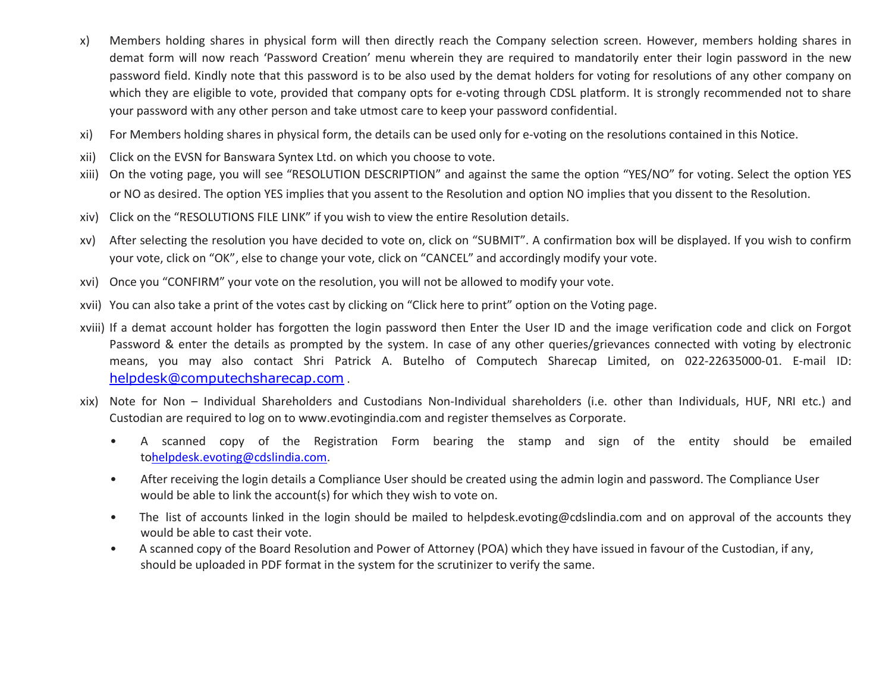- x) Members holding shares in physical form will then directly reach the Company selection screen. However, members holding shares in demat form will now reach 'Password Creation' menu wherein they are required to mandatorily enter their login password in the new password field. Kindly note that this password is to be also used by the demat holders for voting for resolutions of any other company on which they are eligible to vote, provided that company opts for e-voting through CDSL platform. It is strongly recommended not to share your password with any other person and take utmost care to keep your password confidential.
- xi) For Members holding shares in physical form, the details can be used only for e-voting on the resolutions contained in this Notice.
- xii) Click on the EVSN for Banswara Syntex Ltd. on which you choose to vote.
- xiii) On the voting page, you will see "RESOLUTION DESCRIPTION" and against the same the option "YES/NO" for voting. Select the option YES or NO as desired. The option YES implies that you assent to the Resolution and option NO implies that you dissent to the Resolution.
- xiv) Click on the "RESOLUTIONS FILE LINK" if you wish to view the entire Resolution details.
- xv) After selecting the resolution you have decided to vote on, click on "SUBMIT". A confirmation box will be displayed. If you wish to confirm your vote, click on "OK", else to change your vote, click on "CANCEL" and accordingly modify your vote.
- xvi) Once you "CONFIRM" your vote on the resolution, you will not be allowed to modify your vote.
- xvii) You can also take a print of the votes cast by clicking on "Click here to print" option on the Voting page.
- xviii) If a demat account holder has forgotten the login password then Enter the User ID and the image verification code and click on Forgot Password & enter the details as prompted by the system. In case of any other queries/grievances connected with voting by electronic means, you may also contact Shri Patrick A. Butelho of Computech Sharecap Limited, on 022-22635000-01. E-mail ID: helpdesk@computechsharecap.com .
- xix) Note for Non Individual Shareholders and Custodians Non-Individual shareholders (i.e. other than Individuals, HUF, NRI etc.) and Custodian are required to log on to www.evotingindia.com and register themselves as Corporate.
	- A scanned copy of the Registration Form bearing the stamp and sign of the entity should be emailed tohelpdesk.evoting@cdslindia.com.
	- After receiving the login details a Compliance User should be created using the admin login and password. The Compliance User would be able to link the account(s) for which they wish to vote on.
	- The list of accounts linked in the login should be mailed to helpdesk.evoting@cdslindia.com and on approval of the accounts they would be able to cast their vote.
	- A scanned copy of the Board Resolution and Power of Attorney (POA) which they have issued in favour of the Custodian, if any, should be uploaded in PDF format in the system for the scrutinizer to verify the same.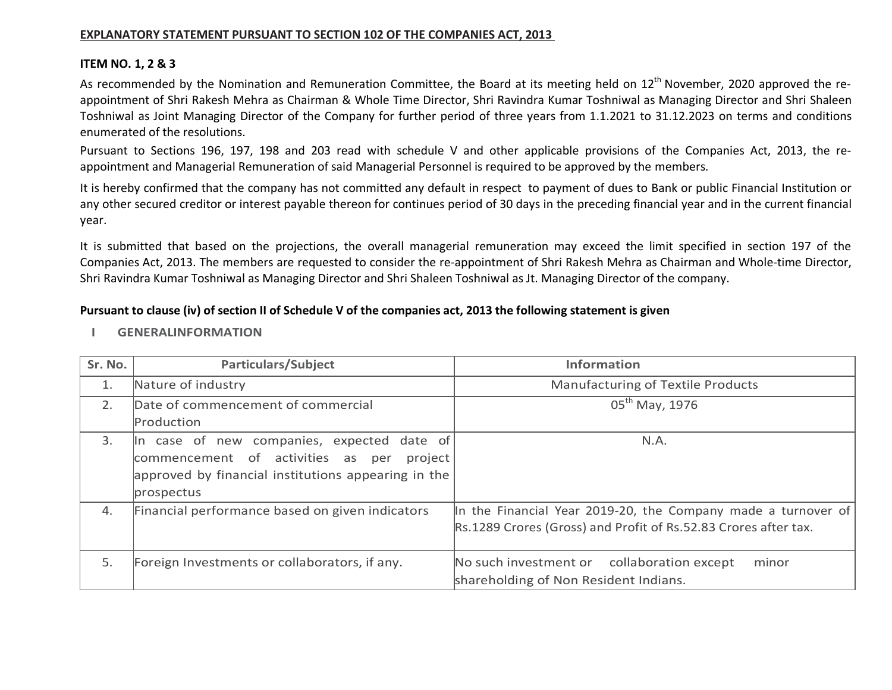#### **EXPLANATORY STATEMENT PURSUANT TO SECTION 102 OF THE COMPANIES ACT, 2013**

#### **ITEM NO. 1, 2 & 3**

As recommended by the Nomination and Remuneration Committee, the Board at its meeting held on 12<sup>th</sup> November, 2020 approved the reappointment of Shri Rakesh Mehra as Chairman & Whole Time Director, Shri Ravindra Kumar Toshniwal as Managing Director and Shri Shaleen Toshniwal as Joint Managing Director of the Company for further period of three years from 1.1.2021 to 31.12.2023 on terms and conditions enumerated of the resolutions.

Pursuant to Sections 196, 197, 198 and 203 read with schedule V and other applicable provisions of the Companies Act, 2013, the reappointment and Managerial Remuneration of said Managerial Personnel is required to be approved by the members.

It is hereby confirmed that the company has not committed any default in respect to payment of dues to Bank or public Financial Institution or any other secured creditor or interest payable thereon for continues period of 30 days in the preceding financial year and in the current financial year.

It is submitted that based on the projections, the overall managerial remuneration may exceed the limit specified in section 197 of the Companies Act, 2013. The members are requested to consider the re-appointment of Shri Rakesh Mehra as Chairman and Whole-time Director, Shri Ravindra Kumar Toshniwal as Managing Director and Shri Shaleen Toshniwal as Jt. Managing Director of the company.

#### **Pursuant to clause (iv) of section II of Schedule V of the companies act, 2013 the following statement is given**

- **Sr. No. Particulars/Subject Information** 1. Nature of industry **Manufacturing of Textile Products** Manufacturing of Textile Products 2. Date of commencement of commercial Production 05<sup>th</sup> May, 1976 3. In case of new companies, expected date of commencement of activities as per project approved by financial institutions appearing in the prospectus N.A. 4. Financial performance based on given indicators In the Financial Year 2019-20, the Company made a turnover of Rs.1289 Crores (Gross) and Profit of Rs.52.83 Crores after tax. 5. Foreign Investments or collaborators, if any. No such investment or collaboration except minor shareholding of Non Resident Indians.
- **I GENERALINFORMATION**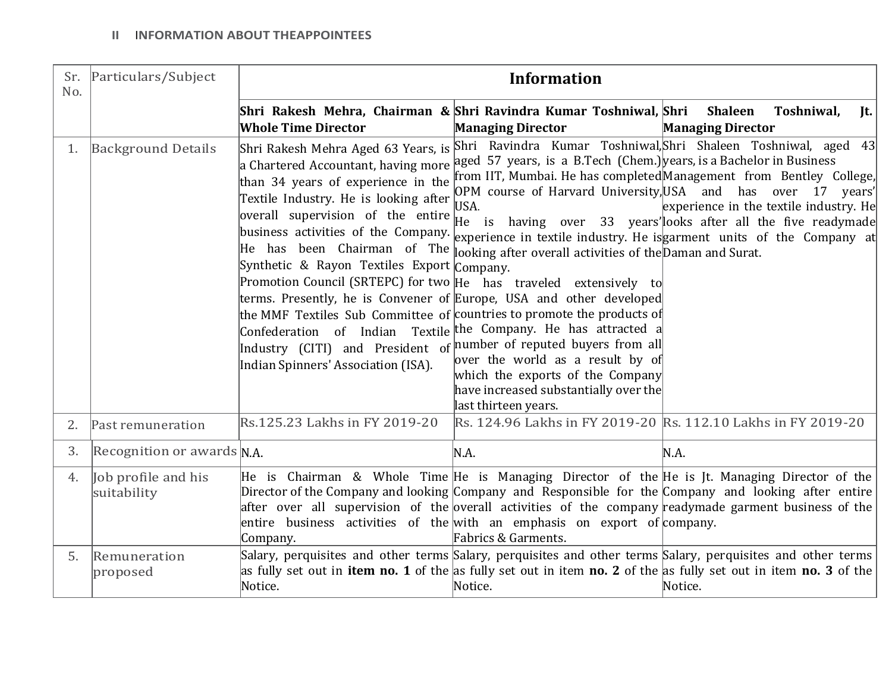| Sr.<br>No. | Particulars/Subject                | <b>Information</b>                                                                                                                                                                                                                                                                                                                                                                                                                                                                                                                                                                                                                                                                                                                                                                                                        |                                                                                                                                               |                                                                                                                                                                                                                                                                                                                                                                                                                                                           |
|------------|------------------------------------|---------------------------------------------------------------------------------------------------------------------------------------------------------------------------------------------------------------------------------------------------------------------------------------------------------------------------------------------------------------------------------------------------------------------------------------------------------------------------------------------------------------------------------------------------------------------------------------------------------------------------------------------------------------------------------------------------------------------------------------------------------------------------------------------------------------------------|-----------------------------------------------------------------------------------------------------------------------------------------------|-----------------------------------------------------------------------------------------------------------------------------------------------------------------------------------------------------------------------------------------------------------------------------------------------------------------------------------------------------------------------------------------------------------------------------------------------------------|
|            |                                    | Shri Rakesh Mehra, Chairman & Shri Ravindra Kumar Toshniwal, Shri<br><b>Whole Time Director</b>                                                                                                                                                                                                                                                                                                                                                                                                                                                                                                                                                                                                                                                                                                                           | <b>Managing Director</b>                                                                                                                      | <b>Shaleen</b><br>Toshniwal,<br>Jt.<br><b>Managing Director</b>                                                                                                                                                                                                                                                                                                                                                                                           |
| 1.         | <b>Background Details</b>          | Shri Rakesh Mehra Aged 63 Years, is<br>a Chartered Accountant, having more aged 57 years, is a B.Tech (Chem.) years, is a Bachelor in Business<br>than 34 years of experience in the<br>Textile Industry. He is looking after<br>overall supervision of the entire<br>He has been Chairman of The $\ \text{o}$ oking after overall activities of the Daman and Surat.<br>Synthetic & Rayon Textiles Export Company.<br>Promotion Council (SRTEPC) for two He has traveled extensively to<br>terms. Presently, he is Convener of Europe, USA and other developed<br>the MMF Textiles Sub Committee of countries to promote the products of<br>Confederation of Indian Textile the Company. He has attracted a<br>Industry (CITI) and President of number of reputed buyers from all<br>Indian Spinners' Association (ISA). | USA.<br>over the world as a result by of<br>which the exports of the Company<br>have increased substantially over the<br>last thirteen years. | Shri Ravindra Kumar Toshniwal, Shri Shaleen Toshniwal, aged 43<br>from IIT, Mumbai. He has completedManagement from Bentley College,<br>OPM course of Harvard University, USA and has over 17 years'<br>experience in the textile industry. He<br>He is having over 33 years' looks after all the five readymade<br>business activities of the Company. $\frac{1}{\exp(\exp(\exp(-\frac{1}{2}t))}$ extile industry. He is garment units of the Company at |
| 2.         | Past remuneration                  | Rs.125.23 Lakhs in FY 2019-20                                                                                                                                                                                                                                                                                                                                                                                                                                                                                                                                                                                                                                                                                                                                                                                             | Rs. 124.96 Lakhs in FY 2019-20 Rs. 112.10 Lakhs in FY 2019-20                                                                                 |                                                                                                                                                                                                                                                                                                                                                                                                                                                           |
| 3.         | Recognition or awards $N.A$ .      |                                                                                                                                                                                                                                                                                                                                                                                                                                                                                                                                                                                                                                                                                                                                                                                                                           | N.A.                                                                                                                                          | N.A.                                                                                                                                                                                                                                                                                                                                                                                                                                                      |
| 4.         | Job profile and his<br>suitability | Director of the Company and looking Company and Responsible for the Company and looking after entire<br>after over all supervision of the overall activities of the company readymade garment business of the<br>entire business activities of the with an emphasis on export of company.<br>Company.                                                                                                                                                                                                                                                                                                                                                                                                                                                                                                                     | Fabrics & Garments.                                                                                                                           | He is Chairman & Whole Time He is Managing Director of the He is Jt. Managing Director of the                                                                                                                                                                                                                                                                                                                                                             |
| 5.         | Remuneration<br>proposed           | as fully set out in <b>item no. 1</b> of the as fully set out in item <b>no. 2</b> of the as fully set out in item <b>no. 3</b> of the<br>Notice.                                                                                                                                                                                                                                                                                                                                                                                                                                                                                                                                                                                                                                                                         | Notice.                                                                                                                                       | Salary, perquisites and other terms Salary, perquisites and other terms Salary, perquisites and other terms<br>Notice.                                                                                                                                                                                                                                                                                                                                    |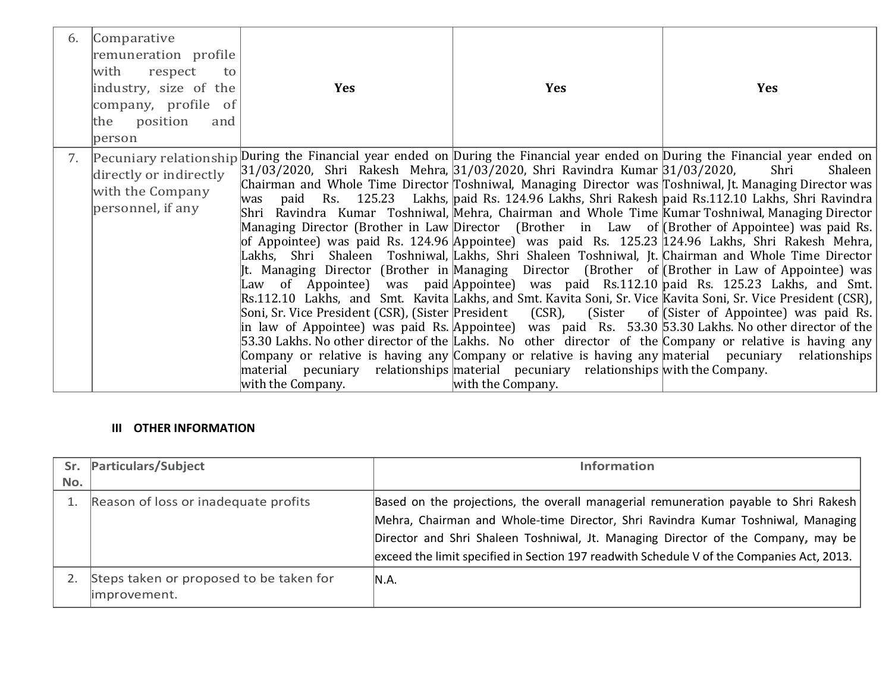| 6. | Comparative<br>remuneration profile<br>with<br>respect<br>to<br>industry, size of the<br>company, profile of<br>the position<br>and<br>person | <b>Yes</b>                                                                                                                                                                                                                                                                                                                                                                                                                                                                                                                                                                                                                                                                                                                               | <b>Yes</b>        | <b>Yes</b>                                                                                                                                                                                                                                                                                                                                                                                                                                                                                                                                                                                                                                                                                                                                                                                                                                                                                                                                                                                              |
|----|-----------------------------------------------------------------------------------------------------------------------------------------------|------------------------------------------------------------------------------------------------------------------------------------------------------------------------------------------------------------------------------------------------------------------------------------------------------------------------------------------------------------------------------------------------------------------------------------------------------------------------------------------------------------------------------------------------------------------------------------------------------------------------------------------------------------------------------------------------------------------------------------------|-------------------|---------------------------------------------------------------------------------------------------------------------------------------------------------------------------------------------------------------------------------------------------------------------------------------------------------------------------------------------------------------------------------------------------------------------------------------------------------------------------------------------------------------------------------------------------------------------------------------------------------------------------------------------------------------------------------------------------------------------------------------------------------------------------------------------------------------------------------------------------------------------------------------------------------------------------------------------------------------------------------------------------------|
| 7. | directly or indirectly<br>with the Company<br>personnel, if any                                                                               | 31/03/2020, Shri Rakesh Mehra, 31/03/2020, Shri Ravindra Kumar 31/03/2020,<br>lwas<br>Shri Ravindra Kumar Toshniwal, Mehra, Chairman and Whole Time Kumar Toshniwal, Managing Director<br>Managing Director (Brother in Law Director (Brother in Law of (Brother of Appointee) was paid Rs.<br>of Appointee) was paid Rs. 124.96 Appointee) was paid Rs. 125.23 124.96 Lakhs, Shri Rakesh Mehra,<br>Rs.112.10 Lakhs, and Smt. Kavita Lakhs, and Smt. Kavita Soni, Sr. Vice Kavita Soni, Sr. Vice President (CSR),<br>53.30 Lakhs. No other director of the Lakhs. No other director of the Company or relative is having any<br>material pecuniary relationships material pecuniary relationships with the Company.<br>with the Company. | with the Company. | Pecuniary relationship During the Financial year ended on During the Financial year ended on During the Financial year ended on<br>Shri<br>Shaleen<br>Chairman and Whole Time Director Toshniwal, Managing Director was Toshniwal, Jt. Managing Director was<br>paid Rs. 125.23 Lakhs, paid Rs. 124.96 Lakhs, Shri Rakesh paid Rs.112.10 Lakhs, Shri Ravindra<br>Lakhs, Shri Shaleen Toshniwal, Lakhs, Shri Shaleen Toshniwal, Jt. Chairman and Whole Time Director<br>It. Managing Director (Brother in Managing Director (Brother of (Brother in Law of Appointee) was<br>Law of Appointee) was paid Appointee) was paid Rs.112.10 paid Rs. 125.23 Lakhs, and Smt.<br>Soni, Sr. Vice President (CSR), (Sister President (CSR), (Sister of (Sister of Appointee) was paid Rs.<br>$ $ in law of Appointee) was paid Rs. $ $ Appointee) was paid Rs. 53.30 53.30 Lakhs. No other director of the<br>Company or relative is having any Company or relative is having any material pecuniary relationships |

# **III OTHER INFORMATION**

|     | Sr. Particulars/Subject                                 | <b>Information</b>                                                                                                                                                                                                                                                                                                                                         |
|-----|---------------------------------------------------------|------------------------------------------------------------------------------------------------------------------------------------------------------------------------------------------------------------------------------------------------------------------------------------------------------------------------------------------------------------|
| No. |                                                         |                                                                                                                                                                                                                                                                                                                                                            |
|     | Reason of loss or inadequate profits                    | Based on the projections, the overall managerial remuneration payable to Shri Rakesh<br>Mehra, Chairman and Whole-time Director, Shri Ravindra Kumar Toshniwal, Managing<br>Director and Shri Shaleen Toshniwal, Jt. Managing Director of the Company, may be<br>exceed the limit specified in Section 197 readwith Schedule V of the Companies Act, 2013. |
|     | Steps taken or proposed to be taken for<br>improvement. | IN.A.                                                                                                                                                                                                                                                                                                                                                      |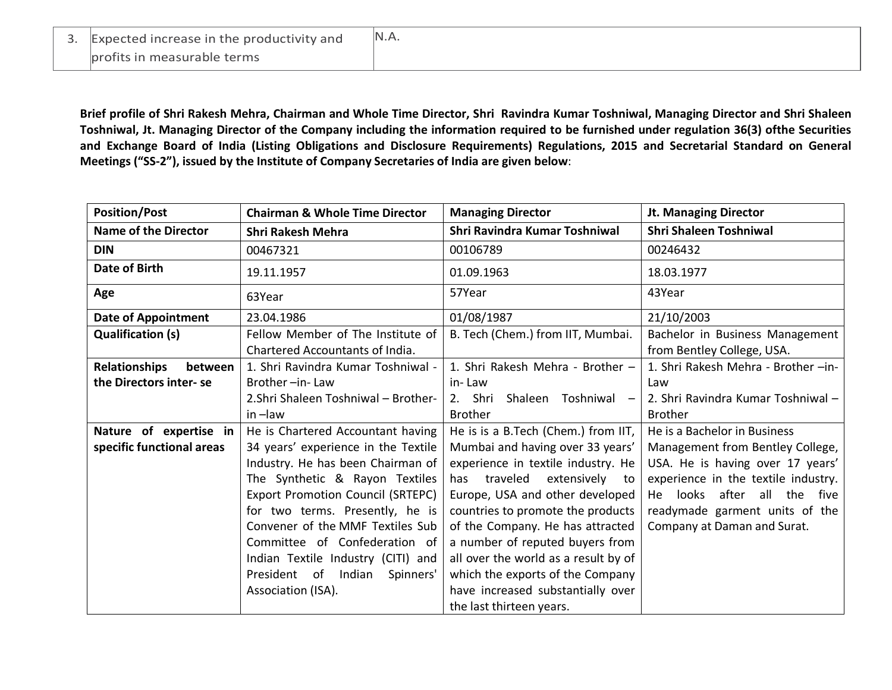| 3. Expected increase in the productivity and | N.A. |
|----------------------------------------------|------|
| profits in measurable terms                  |      |

**Brief profile of Shri Rakesh Mehra, Chairman and Whole Time Director, Shri Ravindra Kumar Toshniwal, Managing Director and Shri Shaleen Toshniwal, Jt. Managing Director of the Company including the information required to be furnished under regulation 36(3) ofthe Securities and Exchange Board of India (Listing Obligations and Disclosure Requirements) Regulations, 2015 and Secretarial Standard on General Meetings ("SS-2"), issued by the Institute of Company Secretaries of India are given below**:

| <b>Position/Post</b>            | <b>Chairman &amp; Whole Time Director</b>                            | <b>Managing Director</b>             | <b>Jt. Managing Director</b>                                  |
|---------------------------------|----------------------------------------------------------------------|--------------------------------------|---------------------------------------------------------------|
| <b>Name of the Director</b>     | <b>Shri Rakesh Mehra</b>                                             | Shri Ravindra Kumar Toshniwal        | <b>Shri Shaleen Toshniwal</b>                                 |
| <b>DIN</b>                      | 00467321                                                             | 00106789                             | 00246432                                                      |
| <b>Date of Birth</b>            | 19.11.1957                                                           | 01.09.1963                           | 18.03.1977                                                    |
| Age                             | 63Year                                                               | 57Year                               | 43Year                                                        |
| <b>Date of Appointment</b>      | 23.04.1986                                                           | 01/08/1987                           | 21/10/2003                                                    |
| <b>Qualification (s)</b>        | Fellow Member of The Institute of<br>Chartered Accountants of India. | B. Tech (Chem.) from IIT, Mumbai.    | Bachelor in Business Management<br>from Bentley College, USA. |
| <b>Relationships</b><br>between | 1. Shri Ravindra Kumar Toshniwal -                                   | 1. Shri Rakesh Mehra - Brother -     | 1. Shri Rakesh Mehra - Brother -in-                           |
| the Directors inter-se          | Brother-in-Law                                                       | in-Law                               | Law                                                           |
|                                 | 2. Shri Shaleen Toshniwal - Brother-                                 | 2. Shri<br>Shaleen Toshniwal -       | 2. Shri Ravindra Kumar Toshniwal -                            |
|                                 | $in$ -law                                                            | <b>Brother</b>                       | <b>Brother</b>                                                |
| Nature of expertise in          | He is Chartered Accountant having                                    | He is is a B. Tech (Chem.) from IIT, | He is a Bachelor in Business                                  |
| specific functional areas       | 34 years' experience in the Textile                                  | Mumbai and having over 33 years'     | Management from Bentley College,                              |
|                                 | Industry. He has been Chairman of                                    | experience in textile industry. He   | USA. He is having over 17 years'                              |
|                                 | The Synthetic & Rayon Textiles                                       | traveled<br>extensively<br>has<br>to | experience in the textile industry.                           |
|                                 | <b>Export Promotion Council (SRTEPC)</b>                             | Europe, USA and other developed      | He looks after all the five                                   |
|                                 | for two terms. Presently, he is                                      | countries to promote the products    | readymade garment units of the                                |
|                                 | Convener of the MMF Textiles Sub                                     | of the Company. He has attracted     | Company at Daman and Surat.                                   |
|                                 | Committee of Confederation of                                        | a number of reputed buyers from      |                                                               |
|                                 | Indian Textile Industry (CITI) and                                   | all over the world as a result by of |                                                               |
|                                 | President of Indian<br>Spinners'                                     | which the exports of the Company     |                                                               |
|                                 | Association (ISA).                                                   | have increased substantially over    |                                                               |
|                                 |                                                                      | the last thirteen years.             |                                                               |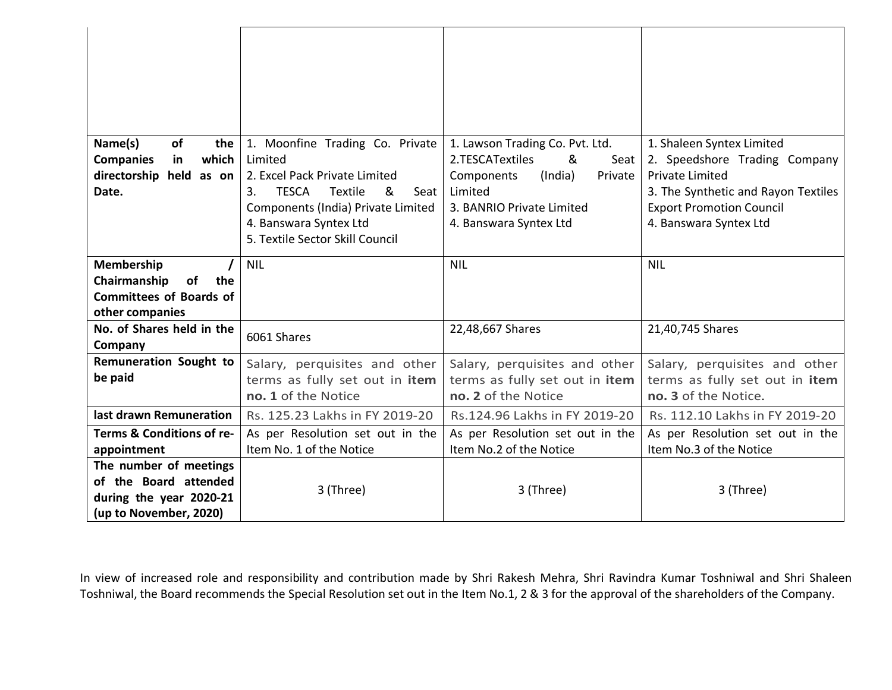| Name(s)<br>οf<br>the<br>which<br><b>Companies</b><br>in<br>held<br>directorship<br>as on<br>Date.    | 1. Moonfine Trading Co. Private<br>Limited<br>2. Excel Pack Private Limited<br><b>TESCA</b><br>Textile<br>ୡ<br>3.<br>Seat<br>Components (India) Private Limited<br>4. Banswara Syntex Ltd<br>5. Textile Sector Skill Council | 1. Lawson Trading Co. Pvt. Ltd.<br>2.TESCATextiles<br>&<br>Seat<br>Components<br>(India)<br>Private<br>Limited<br>3. BANRIO Private Limited<br>4. Banswara Syntex Ltd | 1. Shaleen Syntex Limited<br>2. Speedshore Trading Company<br><b>Private Limited</b><br>3. The Synthetic and Rayon Textiles<br><b>Export Promotion Council</b><br>4. Banswara Syntex Ltd |
|------------------------------------------------------------------------------------------------------|------------------------------------------------------------------------------------------------------------------------------------------------------------------------------------------------------------------------------|-----------------------------------------------------------------------------------------------------------------------------------------------------------------------|------------------------------------------------------------------------------------------------------------------------------------------------------------------------------------------|
| Membership<br>the<br>Chairmanship<br>of<br><b>Committees of Boards of</b><br>other companies         | <b>NIL</b>                                                                                                                                                                                                                   | <b>NIL</b>                                                                                                                                                            | <b>NIL</b>                                                                                                                                                                               |
| No. of Shares held in the<br>Company                                                                 | 6061 Shares                                                                                                                                                                                                                  | 22,48,667 Shares                                                                                                                                                      | 21,40,745 Shares                                                                                                                                                                         |
| Remuneration Sought to<br>be paid                                                                    | Salary, perquisites and other<br>terms as fully set out in item<br>no. 1 of the Notice                                                                                                                                       | Salary, perquisites and other<br>terms as fully set out in item<br>no. 2 of the Notice                                                                                | Salary, perquisites and other<br>terms as fully set out in item<br>no. 3 of the Notice.                                                                                                  |
| last drawn Remuneration                                                                              | Rs. 125.23 Lakhs in FY 2019-20                                                                                                                                                                                               | Rs.124.96 Lakhs in FY 2019-20                                                                                                                                         | Rs. 112.10 Lakhs in FY 2019-20                                                                                                                                                           |
| Terms & Conditions of re-<br>appointment                                                             | As per Resolution set out in the<br>Item No. 1 of the Notice                                                                                                                                                                 | As per Resolution set out in the<br>Item No.2 of the Notice                                                                                                           | As per Resolution set out in the<br>Item No.3 of the Notice                                                                                                                              |
| The number of meetings<br>of the Board attended<br>during the year 2020-21<br>(up to November, 2020) | 3 (Three)                                                                                                                                                                                                                    | 3 (Three)                                                                                                                                                             | 3 (Three)                                                                                                                                                                                |

In view of increased role and responsibility and contribution made by Shri Rakesh Mehra, Shri Ravindra Kumar Toshniwal and Shri Shaleen Toshniwal, the Board recommends the Special Resolution set out in the Item No.1, 2 & 3 for the approval of the shareholders of the Company.